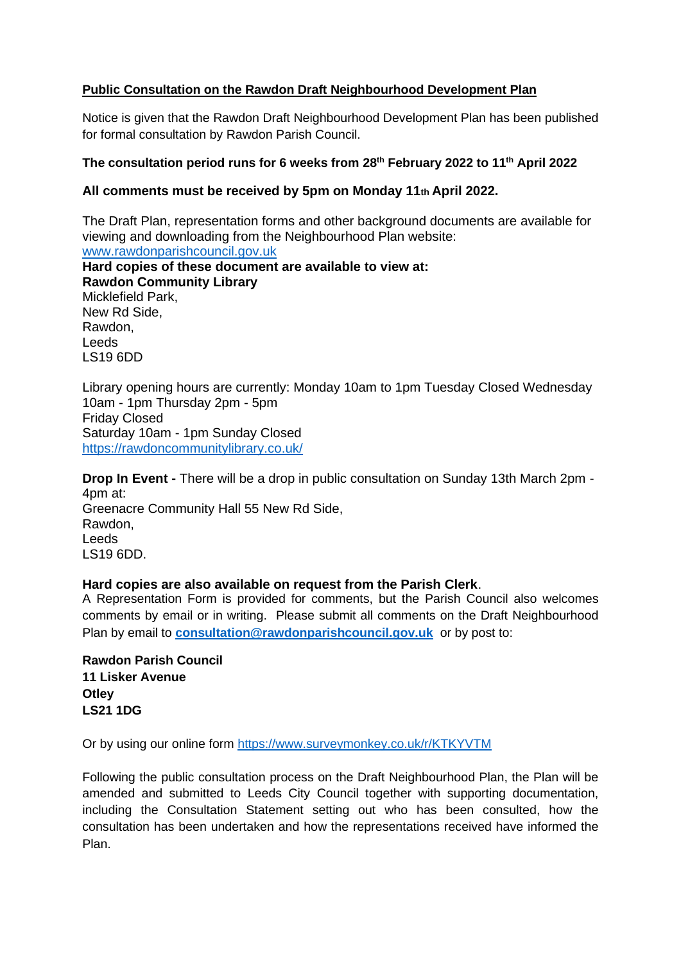## **Public Consultation on the Rawdon Draft Neighbourhood Development Plan**

Notice is given that the Rawdon Draft Neighbourhood Development Plan has been published for formal consultation by Rawdon Parish Council.

## **The consultation period runs for 6 weeks from 28th February 2022 to 11th April 2022**

## **All comments must be received by 5pm on Monday 11th April 2022.**

The Draft Plan, representation forms and other background documents are available for viewing and downloading from the Neighbourhood Plan website: [www.rawdonparishcouncil.gov.uk](http://www.rawdonparishcouncil.gov.uk/) **Hard copies of these document are available to view at: Rawdon Community Library**  Micklefield Park, New Rd Side, Rawdon, Leeds LS19 6DD Library opening hours are currently: Monday 10am to 1pm Tuesday Closed Wednesday

10am - 1pm Thursday 2pm - 5pm Friday Closed Saturday 10am - 1pm Sunday Closed <https://rawdoncommunitylibrary.co.uk/>

**Drop In Event -** There will be a drop in public consultation on Sunday 13th March 2pm - 4pm at: Greenacre Community Hall 55 New Rd Side, Rawdon, Leeds LS19 6DD.

## **Hard copies are also available on request from the Parish Clerk**.

A Representation Form is provided for comments, but the Parish Council also welcomes comments by email or in writing. Please submit all comments on the Draft Neighbourhood Plan by email to **[consultation@rawdonparishcouncil.gov.uk](mailto:consultation@rawdonparishcouncil.gov.uk)** or by post to:

**Rawdon Parish Council 11 Lisker Avenue Otley LS21 1DG**

Or by using our online form<https://www.surveymonkey.co.uk/r/KTKYVTM>

Following the public consultation process on the Draft Neighbourhood Plan, the Plan will be amended and submitted to Leeds City Council together with supporting documentation, including the Consultation Statement setting out who has been consulted, how the consultation has been undertaken and how the representations received have informed the Plan.